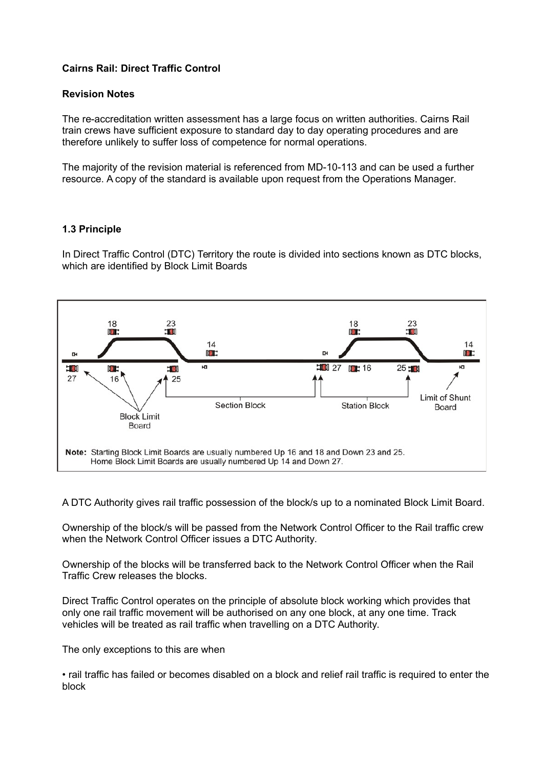## **Cairns Rail: Direct Traffic Control**

#### **Revision Notes**

The re-accreditation written assessment has a large focus on written authorities. Cairns Rail train crews have sufficient exposure to standard day to day operating procedures and are therefore unlikely to suffer loss of competence for normal operations.

The majority of the revision material is referenced from MD-10-113 and can be used a further resource. A copy of the standard is available upon request from the Operations Manager.

#### **1.3 Principle**

In Direct Traffic Control (DTC) Territory the route is divided into sections known as DTC blocks, which are identified by Block Limit Boards



A DTC Authority gives rail traffic possession of the block/s up to a nominated Block Limit Board.

Ownership of the block/s will be passed from the Network Control Officer to the Rail traffic crew when the Network Control Officer issues a DTC Authority.

Ownership of the blocks will be transferred back to the Network Control Officer when the Rail Traffic Crew releases the blocks.

Direct Traffic Control operates on the principle of absolute block working which provides that only one rail traffic movement will be authorised on any one block, at any one time. Track vehicles will be treated as rail traffic when travelling on a DTC Authority.

The only exceptions to this are when

• rail traffic has failed or becomes disabled on a block and relief rail traffic is required to enter the block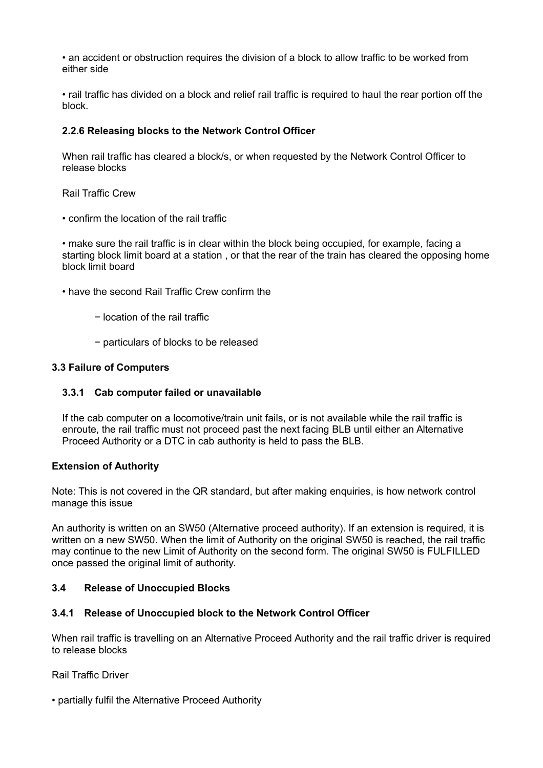• an accident or obstruction requires the division of a block to allow traffic to be worked from either side

• rail traffic has divided on a block and relief rail traffic is required to haul the rear portion off the block.

## **2.2.6 Releasing blocks to the Network Control Officer**

When rail traffic has cleared a block/s, or when requested by the Network Control Officer to release blocks

Rail Traffic Crew

• confirm the location of the rail traffic

• make sure the rail traffic is in clear within the block being occupied, for example, facing a starting block limit board at a station , or that the rear of the train has cleared the opposing home block limit board

- have the second Rail Traffic Crew confirm the
	- − location of the rail traffic
	- − particulars of blocks to be released

#### **3.3 Failure of Computers**

## **3.3.1 Cab computer failed or unavailable**

If the cab computer on a locomotive/train unit fails, or is not available while the rail traffic is enroute, the rail traffic must not proceed past the next facing BLB until either an Alternative Proceed Authority or a DTC in cab authority is held to pass the BLB.

#### **Extension of Authority**

Note: This is not covered in the QR standard, but after making enquiries, is how network control manage this issue

An authority is written on an SW50 (Alternative proceed authority). If an extension is required, it is written on a new SW50. When the limit of Authority on the original SW50 is reached, the rail traffic may continue to the new Limit of Authority on the second form. The original SW50 is FULFILLED once passed the original limit of authority.

## **3.4 Release of Unoccupied Blocks**

# **3.4.1 Release of Unoccupied block to the Network Control Officer**

When rail traffic is travelling on an Alternative Proceed Authority and the rail traffic driver is required to release blocks

Rail Traffic Driver

• partially fulfil the Alternative Proceed Authority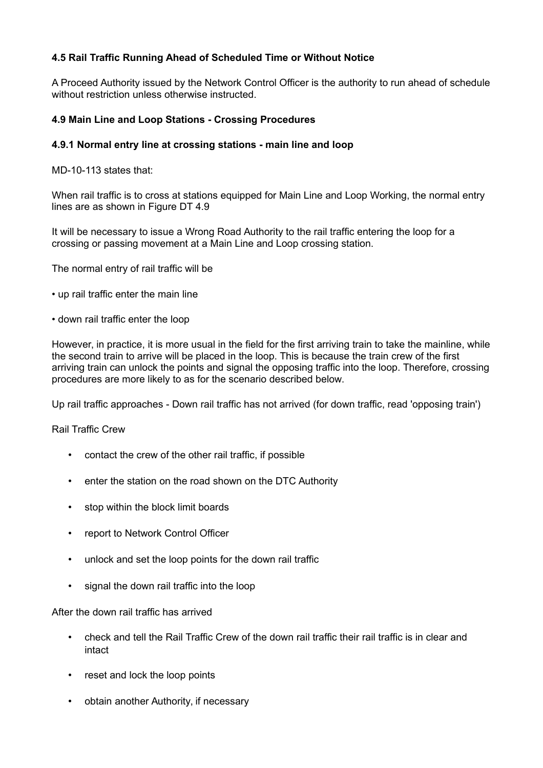## **4.5 Rail Traffic Running Ahead of Scheduled Time or Without Notice**

A Proceed Authority issued by the Network Control Officer is the authority to run ahead of schedule without restriction unless otherwise instructed.

## **4.9 Main Line and Loop Stations - Crossing Procedures**

## **4.9.1 Normal entry line at crossing stations - main line and loop**

MD-10-113 states that:

When rail traffic is to cross at stations equipped for Main Line and Loop Working, the normal entry lines are as shown in Figure DT 4.9

It will be necessary to issue a Wrong Road Authority to the rail traffic entering the loop for a crossing or passing movement at a Main Line and Loop crossing station.

The normal entry of rail traffic will be

- up rail traffic enter the main line
- down rail traffic enter the loop

However, in practice, it is more usual in the field for the first arriving train to take the mainline, while the second train to arrive will be placed in the loop. This is because the train crew of the first arriving train can unlock the points and signal the opposing traffic into the loop. Therefore, crossing procedures are more likely to as for the scenario described below.

Up rail traffic approaches - Down rail traffic has not arrived (for down traffic, read 'opposing train')

## Rail Traffic Crew

- contact the crew of the other rail traffic, if possible
- enter the station on the road shown on the DTC Authority
- stop within the block limit boards
- report to Network Control Officer
- unlock and set the loop points for the down rail traffic
- signal the down rail traffic into the loop

#### After the down rail traffic has arrived

- check and tell the Rail Traffic Crew of the down rail traffic their rail traffic is in clear and intact
- reset and lock the loop points
- obtain another Authority, if necessary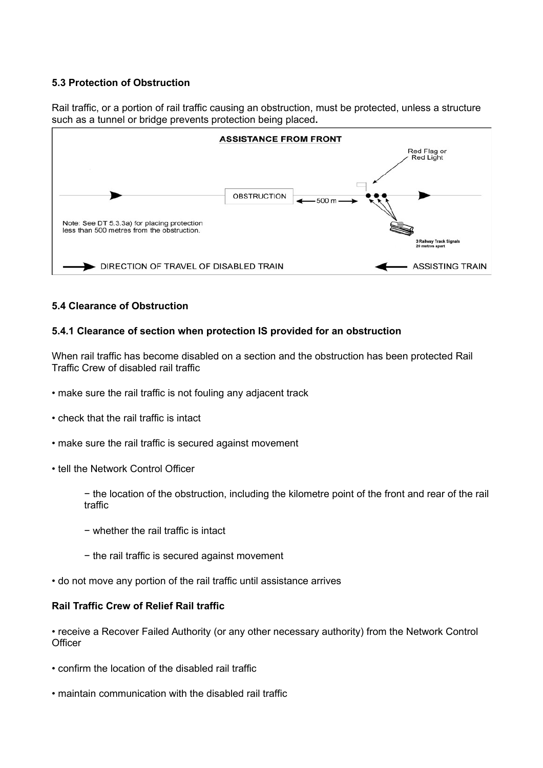## **5.3 Protection of Obstruction**

Rail traffic, or a portion of rail traffic causing an obstruction, must be protected, unless a structure such as a tunnel or bridge prevents protection being placed**.**



## **5.4 Clearance of Obstruction**

## **5.4.1 Clearance of section when protection IS provided for an obstruction**

When rail traffic has become disabled on a section and the obstruction has been protected Rail Traffic Crew of disabled rail traffic

- make sure the rail traffic is not fouling any adjacent track
- check that the rail traffic is intact
- make sure the rail traffic is secured against movement
- tell the Network Control Officer

− the location of the obstruction, including the kilometre point of the front and rear of the rail traffic

- − whether the rail traffic is intact
- − the rail traffic is secured against movement
- do not move any portion of the rail traffic until assistance arrives

#### **Rail Traffic Crew of Relief Rail traffic**

• receive a Recover Failed Authority (or any other necessary authority) from the Network Control **Officer** 

- confirm the location of the disabled rail traffic
- maintain communication with the disabled rail traffic